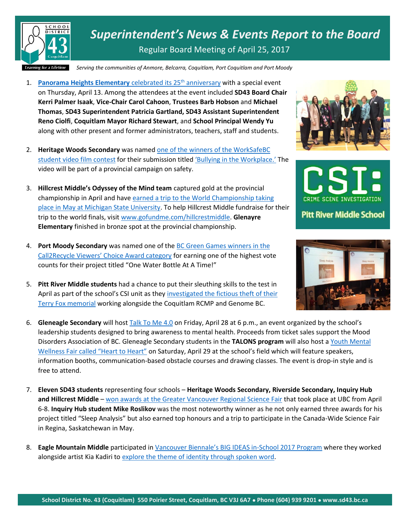

*Superintendent's News & Events Report to the Board* Regular Board Meeting of April 25, 2017

*Serving the communities of Anmore, Belcarra, Coquitlam, Port Coquitlam and Port Moody*

- 1. **[Panorama Heights Elementary](https://www.sd43.bc.ca/Pages/newsitem.aspx?ItemID=116&ListID=c4134e88-bc0d-484f-9d4d-93c69db7f94f&TemplateID=Announcement_Item)** celebrated its 25<sup>th</sup> anniversary with a special event on Thursday, April 13. Among the attendees at the event included **SD43 Board Chair Kerri Palmer Isaak**, **Vice-Chair Carol Cahoon**, **Trustees Barb Hobson** and **Michael Thomas**, **SD43 Superintendent Patricia Gartland, SD43 Assistant Superintendent Reno Ciolfi**, **Coquitlam Mayor Richard Stewart**, and **School Principal Wendy Yu** along with other present and former administrators, teachers, staff and students.
- 2. **Heritage Woods Secondary** was named [one of the winners of the WorkSafeBC](https://www.worksafebc.com/en/health-safety/education-training-certification/young-new-worker/student-safety-video-contest)  [student video film contest](https://www.worksafebc.com/en/health-safety/education-training-certification/young-new-worker/student-safety-video-contest) for their submission titled ['Bullying in the Workplace.'](https://www.youtube.com/watch?v=htuwtx4ns2Y&feature=youtu.be) The video will be part of a provincial campaign on safety.
- 3. **Hillcrest Middle's Odyssey of the Mind team** captured gold at the provincial championship in April and hav[e earned a trip to the World Championship taking](http://www.tricitynews.com/community/coquitlam-team-needs-help-getting-to-odyssey-of-the-mind-world-championships-1.16398934)  [place in May at Michigan State University.](http://www.tricitynews.com/community/coquitlam-team-needs-help-getting-to-odyssey-of-the-mind-world-championships-1.16398934) To help Hillcrest Middle fundraise for their trip to the world finals, visit [www.gofundme.com/hillcrestmiddle.](http://www.gofundme.com/hillcrestmiddle) **Glenayre Elementary** finished in bronze spot at the provincial championship.
- 4. **Port Moody Secondary** was named one of the [BC Green Games winners in the](http://wfly.co/Kp1b3)  [Call2Recycle Viewers' Choice Award category](http://wfly.co/Kp1b3) for earning one of the highest vote counts for their project titled "One Water Bottle At A Time!"
- 5. **Pitt River Middle students** had a chance to put their sleuthing skills to the test in April as part of the school's CSI unit as they investigated the fictious theft of their [Terry Fox memorial](http://www.sd43.bc.ca/Pages/newsitem.aspx?ItemID=114&ListID=c4134e88-bc0d-484f-9d4d-93c69db7f94f&TemplateID=Announcement_Item) working alongside the Coquitlam RCMP and Genome BC.
- 6. **Gleneagle Secondary** will host [Talk To Me 4.0](http://www.tricitynews.com/news/you-re-not-alone-message-from-coquitlam-mental-health-event-1.15908798) on Friday, April 28 at 6 p.m., an event organized by the school's leadership students designed to bring awareness to mental health. Proceeds from ticket sales support the Mood Disorders Association of BC. Gleneagle Secondary students in the **TALONS program** will also host [a Youth Mental](http://www.tricitynews.com/news/awareness-focus-on-coquitlam-school-field-1.15909451)  [Wellness Fair called "Heart to Heart"](http://www.tricitynews.com/news/awareness-focus-on-coquitlam-school-field-1.15909451) on Saturday, April 29 at the school's field which will feature speakers, information booths, communication-based obstacle courses and drawing classes. The event is drop-in style and is free to attend.
- 7. **Eleven SD43 students** representing four schools **Heritage Woods Secondary, Riverside Secondary, Inquiry Hub and Hillcrest Middle** – [won awards at the Greater Vancouver Regional Science Fair](https://www.sd43.bc.ca/Pages/newsitem.aspx?ItemID=115&ListID=c4134e88-bc0d-484f-9d4d-93c69db7f94f&TemplateID=Announcement_Item) that took place at UBC from April 6-8. **Inquiry Hub student Mike Roslikov** was the most noteworthy winner as he not only earned three awards for his project titled "Sleep Analysis" but also earned top honours and a trip to participate in the Canada-Wide Science Fair in Regina, Saskatchewan in May.
- 8. **Eagle Mountain Middle** participated in [Vancouver Biennale's BIG IDEAS in](http://www.vancouverbiennale.com/learn/programs/register/)-School 2017 Program where they worked alongside artist Kia Kadiri t[o explore the theme of identity through spoken word.](http://www.vancouverbiennale.com/learning-cases/eagle-mountain-how-do-stories-help-our-identities-evolve/)